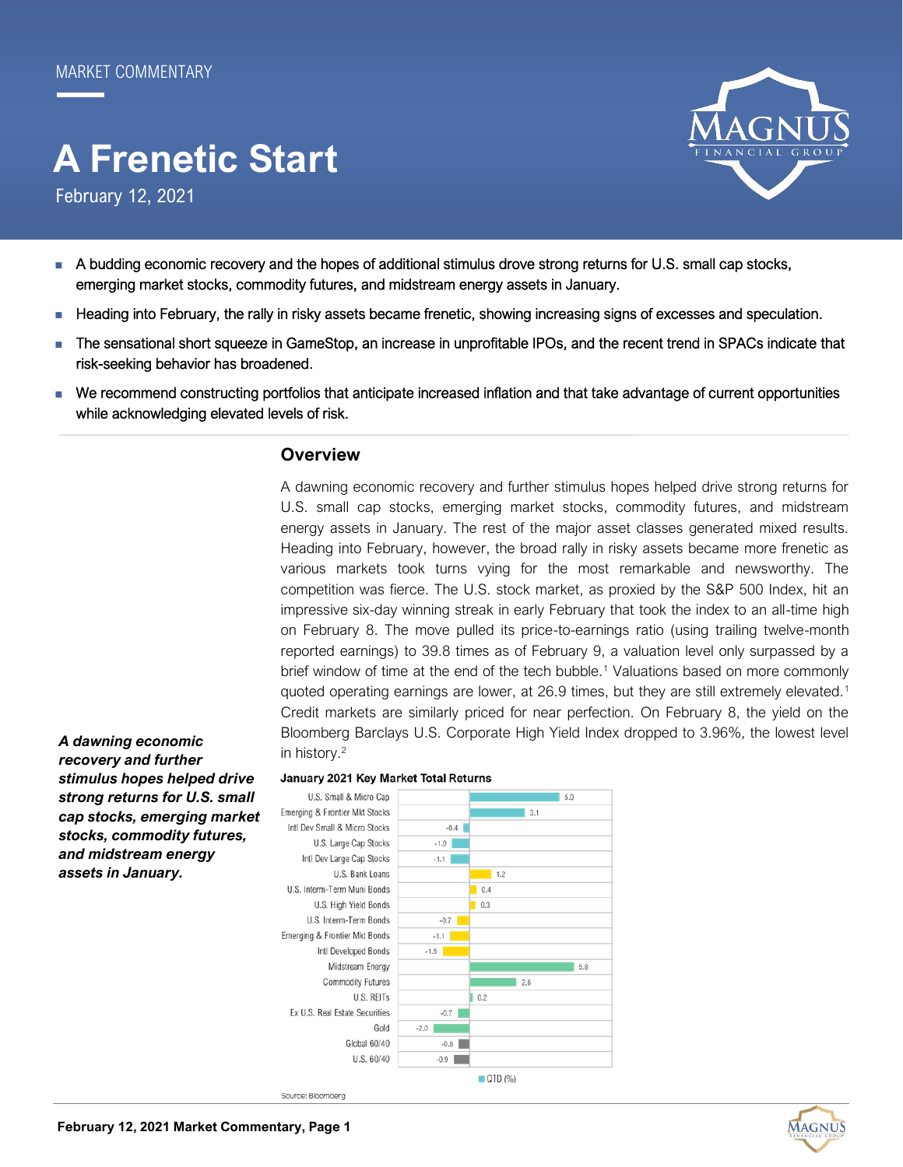# **A Frenetic Start**

February 12, 2021



- A budding economic recovery and the hopes of additional stimulus drove strong returns for U.S. small cap stocks, emerging market stocks, commodity futures, and midstream energy assets in January.
- Heading into February, the rally in risky assets became frenetic, showing increasing signs of excesses and speculation.
- The sensational short squeeze in GameStop, an increase in unprofitable IPOs, and the recent trend in SPACs indicate that risk-seeking behavior has broadened.
- We recommend constructing portfolios that anticipate increased inflation and that take advantage of current opportunities while acknowledging elevated levels of risk.

## **Overview**

A dawning economic recovery and further stimulus hopes helped drive strong returns for U.S. small cap stocks, emerging market stocks, commodity futures, and midstream energy assets in January. The rest of the major asset classes generated mixed results. Heading into February, however, the broad rally in risky assets became more frenetic as various markets took turns vying for the most remarkable and newsworthy. The competition was fierce. The U.S. stock market, as proxied by the S&P 500 Index, hit an impressive six-day winning streak in early February that took the index to an all-time high on February 8. The move pulled its price-to-earnings ratio (using trailing twelve-month reported earnings) to 39.8 times as of February 9, a valuation level only surpassed by a brief window of time at the end of the tech bubble.<sup>1</sup> Valuations based on more commonly quoted operating earnings are lower, at 26.9 times, but they are still extremely elevated.<sup>1</sup> Credit markets are similarly priced for near perfection. On February 8, the yield on the Bloomberg Barclays U.S. Corporate High Yield Index dropped to 3.96%, the lowest level in history.<sup>2</sup>

*A dawning economic recovery and further stimulus hopes helped drive strong returns for U.S. small cap stocks, emerging market stocks, commodity futures, and midstream energy assets in January.*

#### January 2021 Key Market Total Returns



Source: Bloomberg

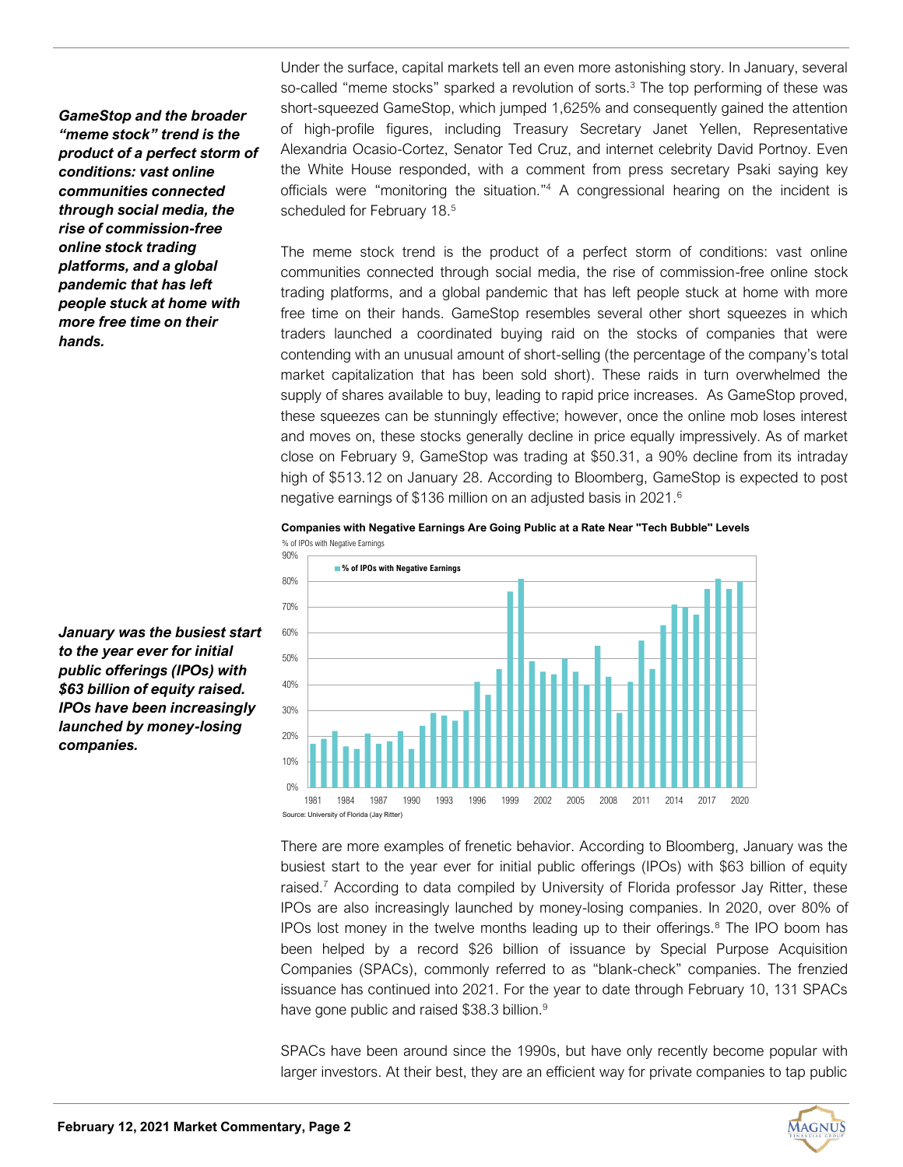*GameStop and the broader "meme stock" trend is the product of a perfect storm of conditions: vast online communities connected through social media, the rise of commission-free online stock trading platforms, and a global pandemic that has left people stuck at home with more free time on their hands.*

Under the surface, capital markets tell an even more astonishing story. In January, several so-called "meme stocks" sparked a revolution of sorts.<sup>3</sup> The top performing of these was short-squeezed GameStop, which jumped 1,625% and consequently gained the attention of high-profile figures, including Treasury Secretary Janet Yellen, Representative Alexandria Ocasio-Cortez, Senator Ted Cruz, and internet celebrity David Portnoy. Even the White House responded, with a comment from press secretary Psaki saying key officials were "monitoring the situation." <sup>4</sup> A congressional hearing on the incident is scheduled for February 18.<sup>5</sup>

The meme stock trend is the product of a perfect storm of conditions: vast online communities connected through social media, the rise of commission-free online stock trading platforms, and a global pandemic that has left people stuck at home with more free time on their hands. GameStop resembles several other short squeezes in which traders launched a coordinated buying raid on the stocks of companies that were contending with an unusual amount of short-selling (the percentage of the company's total market capitalization that has been sold short). These raids in turn overwhelmed the supply of shares available to buy, leading to rapid price increases. As GameStop proved, these squeezes can be stunningly effective; however, once the online mob loses interest and moves on, these stocks generally decline in price equally impressively. As of market close on February 9, GameStop was trading at \$50.31, a 90% decline from its intraday high of \$513.12 on January 28. According to Bloomberg, GameStop is expected to post negative earnings of \$136 million on an adjusted basis in 2021.<sup>6</sup>

**Companies with Negative Earnings Are Going Public at a Rate Near "Tech Bubble" Levels** % of IPOs with Negative Earnings



*January was the busiest start to the year ever for initial public offerings (IPOs) with \$63 billion of equity raised. IPOs have been increasingly launched by money-losing companies.*

> There are more examples of frenetic behavior. According to Bloomberg, January was the busiest start to the year ever for initial public offerings (IPOs) with \$63 billion of equity raised.<sup>7</sup> According to data compiled by University of Florida professor Jay Ritter, these IPOs are also increasingly launched by money-losing companies. In 2020, over 80% of IPOs lost money in the twelve months leading up to their offerings. $8$  The IPO boom has been helped by a record \$26 billion of issuance by Special Purpose Acquisition Companies (SPACs), commonly referred to as "blank-check" companies. The frenzied issuance has continued into 2021. For the year to date through February 10, 131 SPACs have gone public and raised \$38.3 billion.<sup>9</sup>

> SPACs have been around since the 1990s, but have only recently become popular with larger investors. At their best, they are an efficient way for private companies to tap public

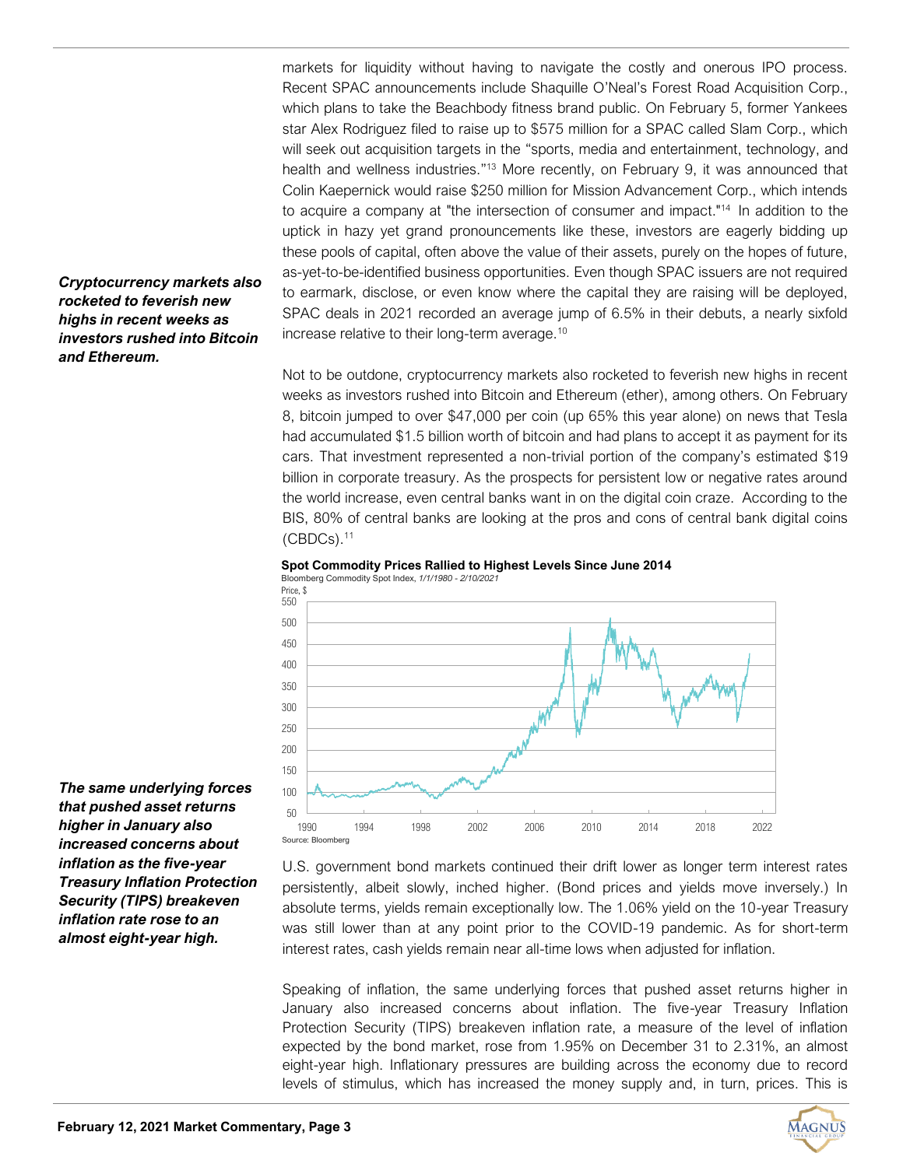markets for liquidity without having to navigate the costly and onerous IPO process. Recent SPAC announcements include Shaquille O'Neal's Forest Road Acquisition Corp., which plans to take the Beachbody fitness brand public. On February 5, former Yankees star Alex Rodriguez filed to raise up to \$575 million for a SPAC called Slam Corp., which will seek out acquisition targets in the "sports, media and entertainment, technology, and health and wellness industries."<sup>13</sup> More recently, on February 9, it was announced that Colin Kaepernick would raise \$250 million for Mission Advancement Corp., which intends to acquire a company at "the intersection of consumer and impact."<sup>14</sup> In addition to the uptick in hazy yet grand pronouncements like these, investors are eagerly bidding up these pools of capital, often above the value of their assets, purely on the hopes of future, as-yet-to-be-identified business opportunities. Even though SPAC issuers are not required to earmark, disclose, or even know where the capital they are raising will be deployed, SPAC deals in 2021 recorded an average jump of 6.5% in their debuts, a nearly sixfold increase relative to their long-term average.<sup>10</sup>

Not to be outdone, cryptocurrency markets also rocketed to feverish new highs in recent weeks as investors rushed into Bitcoin and Ethereum (ether), among others. On February 8, bitcoin jumped to over \$47,000 per coin (up 65% this year alone) on news that Tesla had accumulated \$1.5 billion worth of bitcoin and had plans to accept it as payment for its cars. That investment represented a non-trivial portion of the company's estimated \$19 billion in corporate treasury. As the prospects for persistent low or negative rates around the world increase, even central banks want in on the digital coin craze. According to the BIS, 80% of central banks are looking at the pros and cons of central bank digital coins  $($ CBDCs $)$ . $11$ 





*The same underlying forces that pushed asset returns higher in January also increased concerns about inflation as the five-year Treasury Inflation Protection Security (TIPS) breakeven inflation rate rose to an almost eight-year high.*

*Cryptocurrency markets also rocketed to feverish new highs in recent weeks as investors rushed into Bitcoin* 

*and Ethereum.* 

U.S. government bond markets continued their drift lower as longer term interest rates persistently, albeit slowly, inched higher. (Bond prices and yields move inversely.) In absolute terms, yields remain exceptionally low. The 1.06% yield on the 10-year Treasury was still lower than at any point prior to the COVID-19 pandemic. As for short-term interest rates, cash yields remain near all-time lows when adjusted for inflation.

Speaking of inflation, the same underlying forces that pushed asset returns higher in January also increased concerns about inflation. The five-year Treasury Inflation Protection Security (TIPS) breakeven inflation rate, a measure of the level of inflation expected by the bond market, rose from 1.95% on December 31 to 2.31%, an almost eight-year high. Inflationary pressures are building across the economy due to record levels of stimulus, which has increased the money supply and, in turn, prices. This is

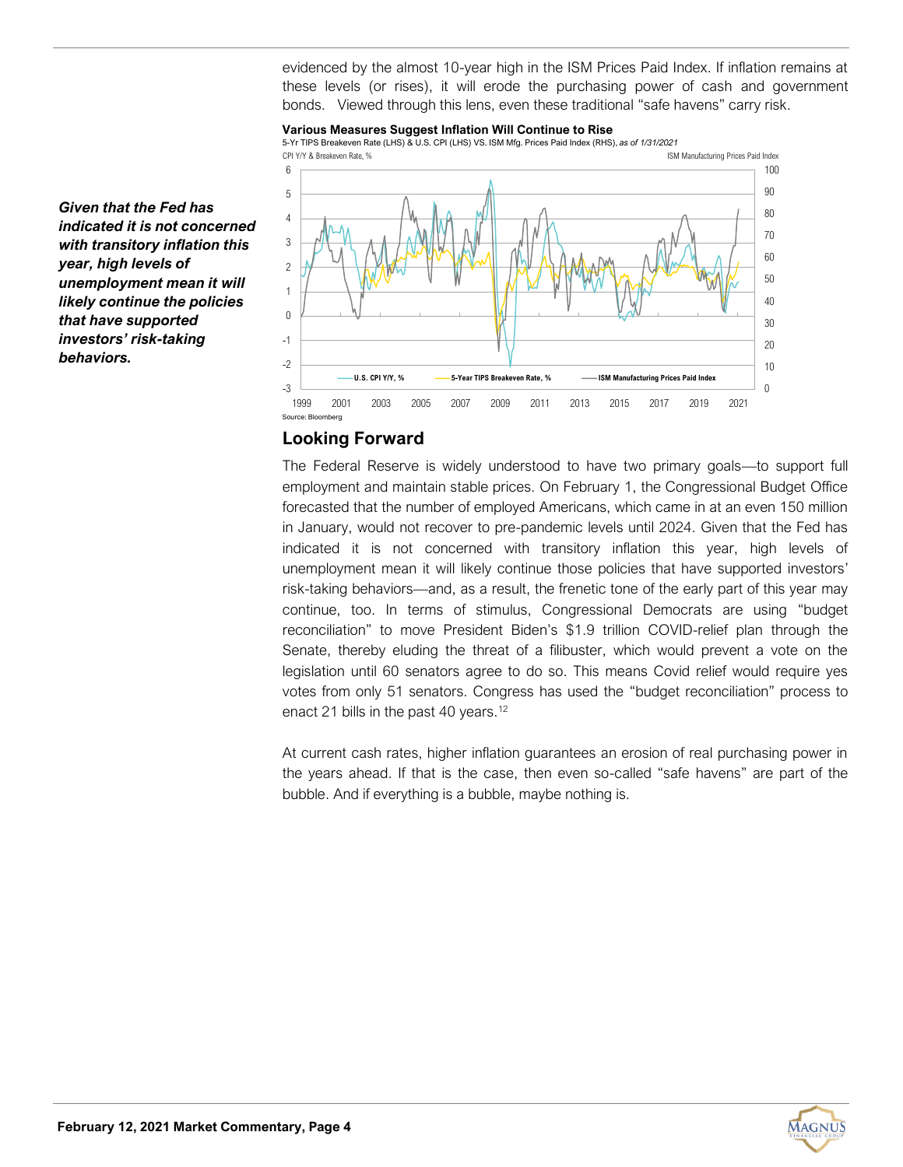evidenced by the almost 10-year high in the ISM Prices Paid Index. If inflation remains at these levels (or rises), it will erode the purchasing power of cash and government bonds. Viewed through this lens, even these traditional "safe havens" carry risk.

#### **Various Measures Suggest Inflation Will Continue to Rise**



*indicated it is not concerned with transitory inflation this year, high levels of unemployment mean it will likely continue the policies that have supported investors' risk-taking behaviors.*

*Given that the Fed has* 

## **Looking Forward**

The Federal Reserve is widely understood to have two primary goals—to support full employment and maintain stable prices. On February 1, the Congressional Budget Office forecasted that the number of employed Americans, which came in at an even 150 million in January, would not recover to pre-pandemic levels until 2024. Given that the Fed has indicated it is not concerned with transitory inflation this year, high levels of unemployment mean it will likely continue those policies that have supported investors' risk-taking behaviors—and, as a result, the frenetic tone of the early part of this year may continue, too. In terms of stimulus, Congressional Democrats are using "budget reconciliation" to move President Biden's \$1.9 trillion COVID-relief plan through the Senate, thereby eluding the threat of a filibuster, which would prevent a vote on the legislation until 60 senators agree to do so. This means Covid relief would require yes votes from only 51 senators. Congress has used the "budget reconciliation" process to enact 21 bills in the past 40 years.<sup>12</sup>

At current cash rates, higher inflation guarantees an erosion of real purchasing power in the years ahead. If that is the case, then even so-called "safe havens" are part of the bubble. And if everything is a bubble, maybe nothing is.

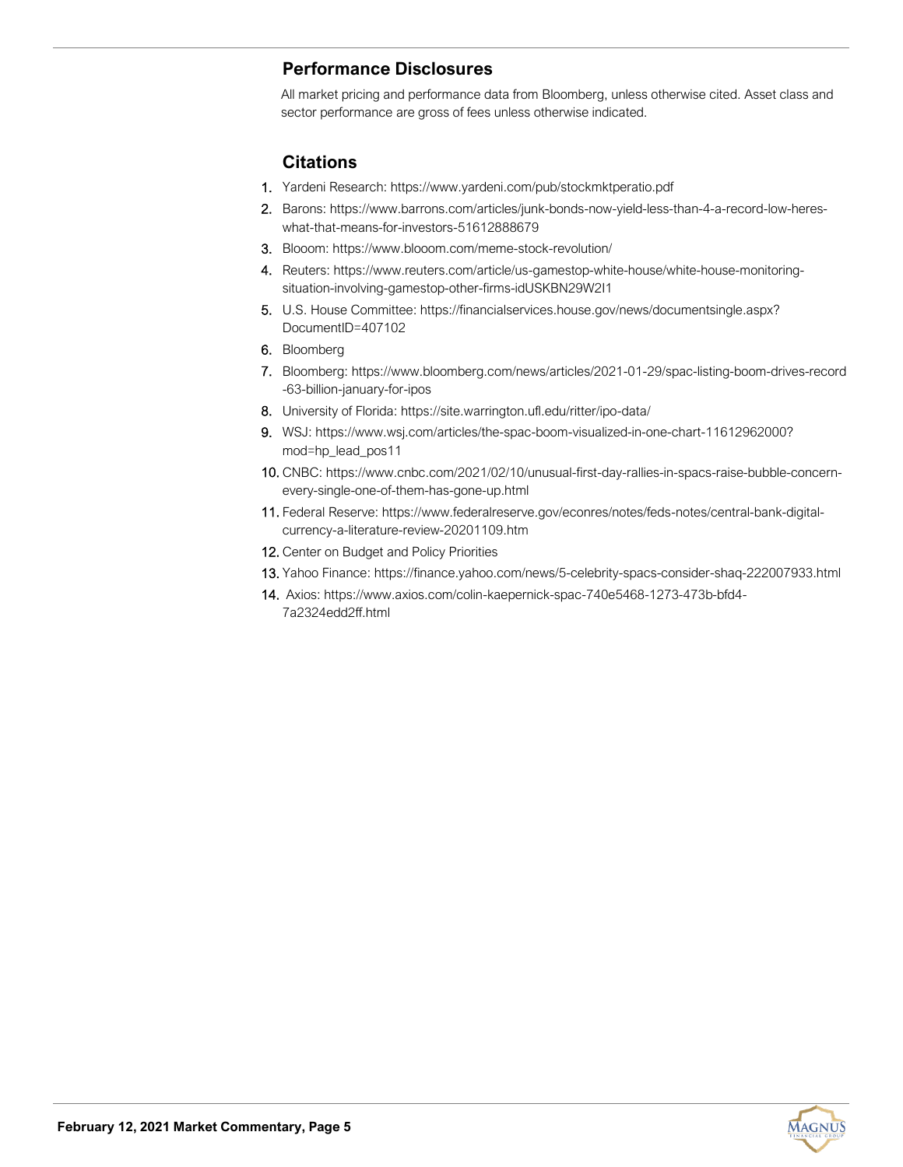# **Performance Disclosures**

All market pricing and performance data from Bloomberg, unless otherwise cited. Asset class and sector performance are gross of fees unless otherwise indicated.

## **Citations**

- 1. Yardeni Research: <https://www.yardeni.com/pub/stockmktperatio.pdf>
- 2. Barons: [https://www.barrons.com/articles/junk](https://www.barrons.com/articles/junk-bonds-now-yield-less-than-4-a-record-low-heres-what-that-means-for-investors-51612888679)-bonds-now-yield-less-than-4-a-record-low-hereswhat-that-means-for-investors-[51612888679](https://www.barrons.com/articles/junk-bonds-now-yield-less-than-4-a-record-low-heres-what-that-means-for-investors-51612888679)
- 3. Blooom: [https://www.blooom.com/meme](https://www.blooom.com/meme-stock-revolution/)-stock-revolution/
- 4. Reuters: https://www.reuters.com/article/us-gamestop-white-house/white-house-monitoringsituation-involving-gamestop-other-firms-idUSKBN29W2I1
- 5. U.S. House Committee: [https://financialservices.house.gov/news/documentsingle.aspx?](https://financialservices.house.gov/news/documentsingle.aspx?DocumentID=407102) [DocumentID=407102](https://financialservices.house.gov/news/documentsingle.aspx?DocumentID=407102)
- 6. Bloomberg
- 7. Bloomberg: [https://www.bloomberg.com/news/articles/2021](https://www.bloomberg.com/news/articles/2021-01-29/spac-listing-boom-drives-record-63-billion-january-for-ipos)-01-29/spac-listing-boom-drives-record -63-billion-[january](https://www.bloomberg.com/news/articles/2021-01-29/spac-listing-boom-drives-record-63-billion-january-for-ipos)-for-ipos
- 8. University of Florida: [https://site.warrington.ufl.edu/ritter/ipo](https://site.warrington.ufl.edu/ritter/ipo-data/)-data/
- 9. WSJ: [https://www.wsj.com/articles/the](https://www.wsj.com/articles/the-spac-boom-visualized-in-one-chart-11612962000?mod=hp_lead_pos11)-spac-boom-visualized-in-one-chart-11612962000? [mod=hp\\_lead\\_pos11](https://www.wsj.com/articles/the-spac-boom-visualized-in-one-chart-11612962000?mod=hp_lead_pos11)
- 10. CNBC: [https://www.cnbc.com/2021/02/10/unusual](https://www.cnbc.com/2021/02/10/unusual-first-day-rallies-in-spacs-raise-bubble-concern-every-single-one-of-them-has-gone-up.html)-first-day-rallies-in-spacs-raise-bubble-concernevery-single-one-of-them-has-gone-[up.html](https://www.cnbc.com/2021/02/10/unusual-first-day-rallies-in-spacs-raise-bubble-concern-every-single-one-of-them-has-gone-up.html)
- 11. Federal Reserve: [https://www.federalreserve.gov/econres/notes/feds](https://www.federalreserve.gov/econres/notes/feds-notes/central-bank-digital-currency-a-literature-review-20201109.htm)-notes/central-bank-digitalcurrency-a-literature-review-[20201109.htm](https://www.federalreserve.gov/econres/notes/feds-notes/central-bank-digital-currency-a-literature-review-20201109.htm)
- 12. Center on Budget and Policy Priorities
- 13. Yahoo Finance: https://finance.yahoo.com/news/5-celebrity-spacs-consider-shaq-222007933.html
- 14. Axios: https://www.axios.com/colin-kaepernick-spac-740e5468-1273-473b-bfd4- 7a2324edd2ff.html